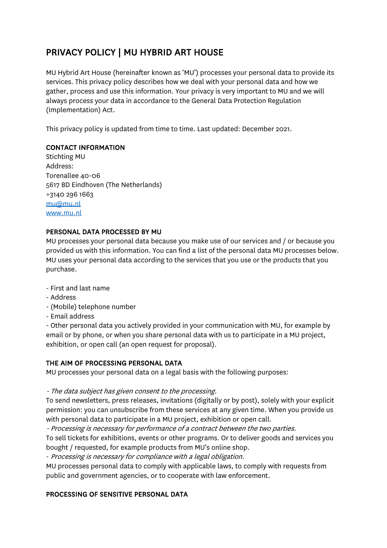# PRIVACY POLICY | MU HYBRID ART HOUSE

MU Hybrid Art House (hereinafter known as 'MU') processes your personal data to provide its services. This privacy policy describes how we deal with your personal data and how we gather, process and use this information. Your privacy is very important to MU and we will always process your data in accordance to the General Data Protection Regulation (Implementation) Act.

This privacy policy is updated from time to time. Last updated: December 2021.

## CONTACT INFORMATION

Stichting MU Address: Torenallee 40-06 5617 BD Eindhoven (The Netherlands) +3140 296 1663 mu@mu.nl www.mu.nl

## PERSONAL DATA PROCESSED BY MU

MU processes your personal data because you make use of our services and / or because you provided us with this information. You can find a list of the personal data MU processes below. MU uses your personal data according to the services that you use or the products that you purchase.

- First and last name
- Address
- (Mobile) telephone number
- Email address

- Other personal data you actively provided in your communication with MU, for example by email or by phone, or when you share personal data with us to participate in a MU project, exhibition, or open call (an open request for proposal).

# THE AIM OF PROCESSING PERSONAL DATA

MU processes your personal data on a legal basis with the following purposes:

- The data subject has given consent to the processing.

To send newsletters, press releases, invitations (digitally or by post), solely with your explicit permission: you can unsubscribe from these services at any given time. When you provide us with personal data to participate in a MU project, exhibition or open call.

- Processing is necessary for performance of a contract between the two parties.

To sell tickets for exhibitions, events or other programs. Or to deliver goods and services you bought / requested, for example products from MU's online shop.

- Processing is necessary for compliance with a legal obligation.

MU processes personal data to comply with applicable laws, to comply with requests from public and government agencies, or to cooperate with law enforcement.

# PROCESSING OF SENSITIVE PERSONAL DATA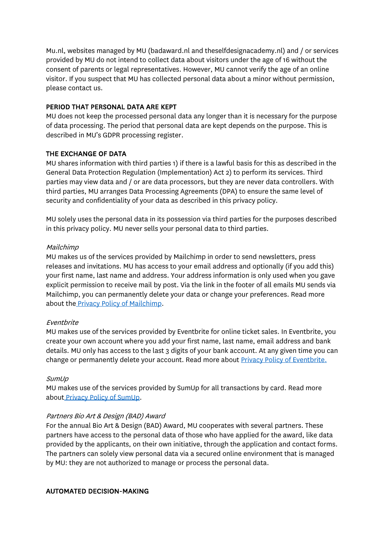Mu.nl, websites managed by MU (badaward.nl and theselfdesignacademy.nl) and / or services provided by MU do not intend to collect data about visitors under the age of 16 without the consent of parents or legal representatives. However, MU cannot verify the age of an online visitor. If you suspect that MU has collected personal data about a minor without permission, please contact us.

#### PERIOD THAT PERSONAL DATA ARE KEPT

MU does not keep the processed personal data any longer than it is necessary for the purpose of data processing. The period that personal data are kept depends on the purpose. This is described in MU's GDPR processing register.

## THE EXCHANGE OF DATA

MU shares information with third parties 1) if there is a lawful basis for this as described in the General Data Protection Regulation (Implementation) Act 2) to perform its services. Third parties may view data and / or are data processors, but they are never data controllers. With third parties, MU arranges Data Processing Agreements (DPA) to ensure the same level of security and confidentiality of your data as described in this privacy policy.

MU solely uses the personal data in its possession via third parties for the purposes described in this privacy policy. MU never sells your personal data to third parties.

#### Mailchimp

MU makes us of the services provided by Mailchimp in order to send newsletters, press releases and invitations. MU has access to your email address and optionally (if you add this) your first name, last name and address. Your address information is only used when you gave explicit permission to receive mail by post. Via the link in the footer of all emails MU sends via Mailchimp, you can permanently delete your data or change your preferences. Read more about the Privacy Policy of Mailchimp.

#### Eventbrite

MU makes use of the services provided by Eventbrite for online ticket sales. In Eventbrite, you create your own account where you add your first name, last name, email address and bank details. MU only has access to the last 3 digits of your bank account. At any given time you can change or permanently delete your account. Read more about **Privacy Policy of Eventbrite.** 

#### SumUp

MU makes use of the services provided by SumUp for all transactions by card. Read more about Privacy Policy of SumUp.

#### Partners Bio Art & Design (BAD) Award

For the annual Bio Art & Design (BAD) Award, MU cooperates with several partners. These partners have access to the personal data of those who have applied for the award, like data provided by the applicants, on their own initiative, through the application and contact forms. The partners can solely view personal data via a secured online environment that is managed by MU: they are not authorized to manage or process the personal data.

#### AUTOMATED DECISION-MAKING